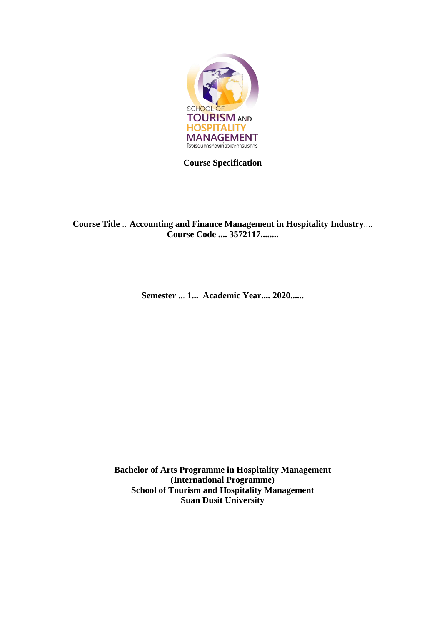

**Course Specification**

**Course Title** .. **Accounting and Finance Management in Hospitality Industry**.... **Course Code .... 3572117........**

**Semester** ... **1... Academic Year.... 2020......** 

**Bachelor of Arts Programme in Hospitality Management (International Programme) School of Tourism and Hospitality Management Suan Dusit University**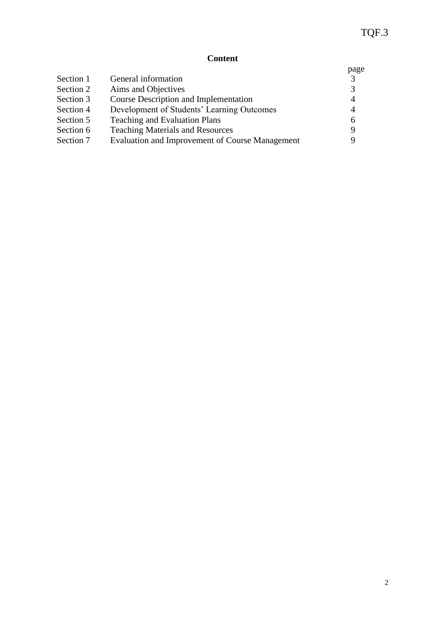# **Content**

|           |                                                 | page          |
|-----------|-------------------------------------------------|---------------|
| Section 1 | General information                             | $\mathcal{R}$ |
| Section 2 | Aims and Objectives                             | 3             |
| Section 3 | Course Description and Implementation           | 4             |
| Section 4 | Development of Students' Learning Outcomes      | 4             |
| Section 5 | <b>Teaching and Evaluation Plans</b>            | 6             |
| Section 6 | <b>Teaching Materials and Resources</b>         | 9             |
| Section 7 | Evaluation and Improvement of Course Management |               |
|           |                                                 |               |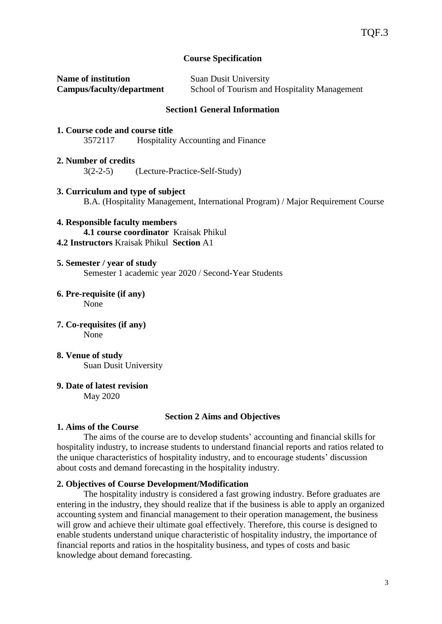### **Course Specification**

| <b>Name of institution</b> | <b>Suan Dusit University</b>                 |
|----------------------------|----------------------------------------------|
| Campus/faculty/department  | School of Tourism and Hospitality Management |

#### **Section1 General Information**

- **1. Course code and course title** 3572117 Hospitality Accounting and Finance
- **2. Number of credits** 3(2-2-5) (Lecture‐Practice‐Self‐Study)
- **3. Curriculum and type of subject** B.A. (Hospitality Management, International Program) / Major Requirement Course
- **4. Responsible faculty members 4.1 course coordinator** Kraisak Phikul **4.2 Instructors** Kraisak Phikul **Section** A1
- **5. Semester / year of study** Semester 1 academic year 2020 / Second-Year Students
- **6. Pre-requisite (if any)** None
- **7. Co-requisites (if any)** None
- **8. Venue of study** Suan Dusit University
- **9. Date of latest revision** May 2020

#### **Section 2 Aims and Objectives**

### **1. Aims of the Course**

The aims of the course are to develop students' accounting and financial skills for hospitality industry, to increase students to understand financial reports and ratios related to the unique characteristics of hospitality industry, and to encourage students' discussion about costs and demand forecasting in the hospitality industry.

### **2. Objectives of Course Development/Modification**

The hospitality industry is considered a fast growing industry. Before graduates are entering in the industry, they should realize that if the business is able to apply an organized accounting system and financial management to their operation management, the business will grow and achieve their ultimate goal effectively. Therefore, this course is designed to enable students understand unique characteristic of hospitality industry, the importance of financial reports and ratios in the hospitality business, and types of costs and basic knowledge about demand forecasting.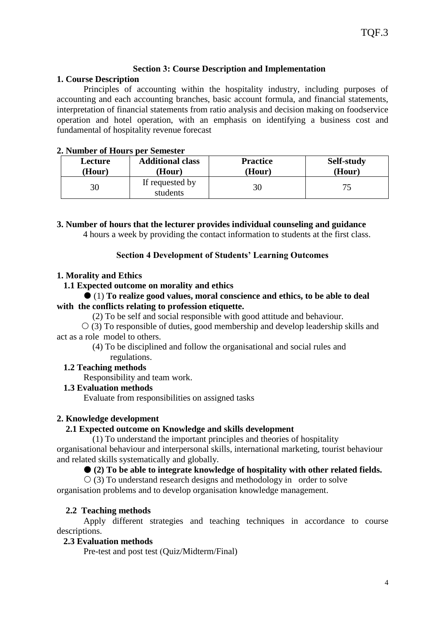### **Section 3: Course Description and Implementation**

### **1. Course Description**

Principles of accounting within the hospitality industry, including purposes of accounting and each accounting branches, basic account formula, and financial statements, interpretation of financial statements from ratio analysis and decision making on foodservice operation and hotel operation, with an emphasis on identifying a business cost and fundamental of hospitality revenue forecast

### **2. Number of Hours per Semester**

| Lecture | <b>Additional class</b>     | <b>Practice</b> | Self-study |
|---------|-----------------------------|-----------------|------------|
| (Hour)  | Hour)                       | (Hour)          | (Hour)     |
| 30      | If requested by<br>students |                 |            |

**3. Number of hours that the lecturer provides individual counseling and guidance** 4 hours a week by providing the contact information to students at the first class.

# **Section 4 Development of Students' Learning Outcomes**

# **1. Morality and Ethics**

# **1.1 Expected outcome on morality and ethics**

### (1) **To realize good values, moral conscience and ethics, to be able to deal with the conflicts relating to profession etiquette.**

(2) To be self and social responsible with good attitude and behaviour.

 $\circ$  (3) To responsible of duties, good membership and develop leadership skills and act as a role model to others.

 (4) To be disciplined and follow the organisational and social rules and regulations.

# **1.2 Teaching methods**

Responsibility and team work.

# **1.3 Evaluation methods**

Evaluate from responsibilities on assigned tasks

# **2. Knowledge development**

# **2.1 Expected outcome on Knowledge and skills development**

 (1) To understand the important principles and theories of hospitality organisational behaviour and interpersonal skills, international marketing, tourist behaviour and related skills systematically and globally.

# **(2) To be able to integrate knowledge of hospitality with other related fields.**

 $\circ$  (3) To understand research designs and methodology in order to solve organisation problems and to develop organisation knowledge management.

# **2.2 Teaching methods**

Apply different strategies and teaching techniques in accordance to course descriptions.

### **2.3 Evaluation methods**

Pre-test and post test (Quiz/Midterm/Final)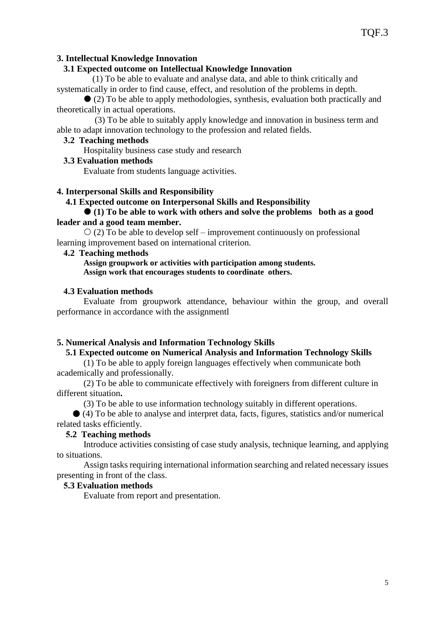### **3. Intellectual Knowledge Innovation**

### **3.1 Expected outcome on Intellectual Knowledge Innovation**

 (1) To be able to evaluate and analyse data, and able to think critically and systematically in order to find cause, effect, and resolution of the problems in depth.

 (2) To be able to apply methodologies, synthesis, evaluation both practically and theoretically in actual operations.

 (3) To be able to suitably apply knowledge and innovation in business term and able to adapt innovation technology to the profession and related fields.

### **3.2 Teaching methods**

Hospitality business case study and research

#### **3.3 Evaluation methods**

Evaluate from students language activities.

#### **4. Interpersonal Skills and Responsibility**

#### **4.1 Expected outcome on Interpersonal Skills and Responsibility**

#### **(1) To be able to work with others and solve the problems both as a good leader and a good team member.**

 $\circ$  (2) To be able to develop self – improvement continuously on professional learning improvement based on international criterion.

#### **4.2 Teaching methods**

#### **Assign groupwork or activities with participation among students. Assign work that encourages students to coordinate others.**

#### **4.3 Evaluation methods**

Evaluate from groupwork attendance, behaviour within the group, and overall performance in accordance with the assignmentl

#### **5. Numerical Analysis and Information Technology Skills**

#### **5.1 Expected outcome on Numerical Analysis and Information Technology Skills**

(1) To be able to apply foreign languages effectively when communicate both academically and professionally.

(2) To be able to communicate effectively with foreigners from different culture in different situation**.**

(3) To be able to use information technology suitably in different operations.

 (4) To be able to analyse and interpret data, facts, figures, statistics and/or numerical related tasks efficiently.

#### **5.2 Teaching methods**

Introduce activities consisting of case study analysis, technique learning, and applying to situations.

Assign tasks requiring international information searching and related necessary issues presenting in front of the class.

#### **5.3 Evaluation methods**

Evaluate from report and presentation.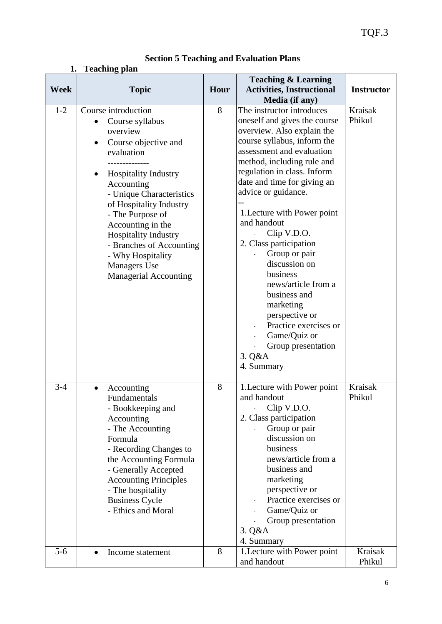| <b>Section 5 Teaching and Evaluation Plans</b> |  |  |  |  |  |  |
|------------------------------------------------|--|--|--|--|--|--|
|------------------------------------------------|--|--|--|--|--|--|

# **1. Teaching plan**

| <b>Week</b> | <b>Topic</b>                                                                                                                                                                                                                                                                                                                                                          | Hour | <b>Teaching &amp; Learning</b><br><b>Activities, Instructional</b>                                                                                                                                                                                                                                                                                                                                                                                                                                                                                                       | <b>Instructor</b> |
|-------------|-----------------------------------------------------------------------------------------------------------------------------------------------------------------------------------------------------------------------------------------------------------------------------------------------------------------------------------------------------------------------|------|--------------------------------------------------------------------------------------------------------------------------------------------------------------------------------------------------------------------------------------------------------------------------------------------------------------------------------------------------------------------------------------------------------------------------------------------------------------------------------------------------------------------------------------------------------------------------|-------------------|
|             |                                                                                                                                                                                                                                                                                                                                                                       |      | Media (if any)                                                                                                                                                                                                                                                                                                                                                                                                                                                                                                                                                           |                   |
| $1 - 2$     | Course introduction<br>Course syllabus<br>overview<br>Course objective and<br>evaluation<br><b>Hospitality Industry</b><br>Accounting<br>- Unique Characteristics<br>of Hospitality Industry<br>- The Purpose of<br>Accounting in the<br>Hospitality Industry<br>- Branches of Accounting<br>- Why Hospitality<br><b>Managers</b> Use<br><b>Managerial Accounting</b> | 8    | The instructor introduces<br>oneself and gives the course<br>overview. Also explain the<br>course syllabus, inform the<br>assessment and evaluation<br>method, including rule and<br>regulation in class. Inform<br>date and time for giving an<br>advice or guidance.<br>1. Lecture with Power point<br>and handout<br>Clip V.D.O.<br>2. Class participation<br>Group or pair<br>discussion on<br>business<br>news/article from a<br>business and<br>marketing<br>perspective or<br>Practice exercises or<br>Game/Quiz or<br>Group presentation<br>3. Q&A<br>4. Summary | Kraisak<br>Phikul |
| $3 - 4$     | Accounting<br>$\bullet$<br>Fundamentals<br>- Bookkeeping and<br>Accounting<br>- The Accounting<br>Formula<br>- Recording Changes to<br>the Accounting Formula<br>- Generally Accepted<br><b>Accounting Principles</b><br>- The hospitality<br><b>Business Cycle</b><br>- Ethics and Moral                                                                             | 8    | 1. Lecture with Power point<br>and handout<br>Clip V.D.O.<br>2. Class participation<br>Group or pair<br>discussion on<br>business<br>news/article from a<br>business and<br>marketing<br>perspective or<br>Practice exercises or<br>Game/Quiz or<br>Group presentation<br>3. Q&A<br>4. Summary                                                                                                                                                                                                                                                                           | Kraisak<br>Phikul |
| $5-6$       | Income statement<br>$\bullet$                                                                                                                                                                                                                                                                                                                                         | 8    | 1. Lecture with Power point<br>and handout                                                                                                                                                                                                                                                                                                                                                                                                                                                                                                                               | Kraisak<br>Phikul |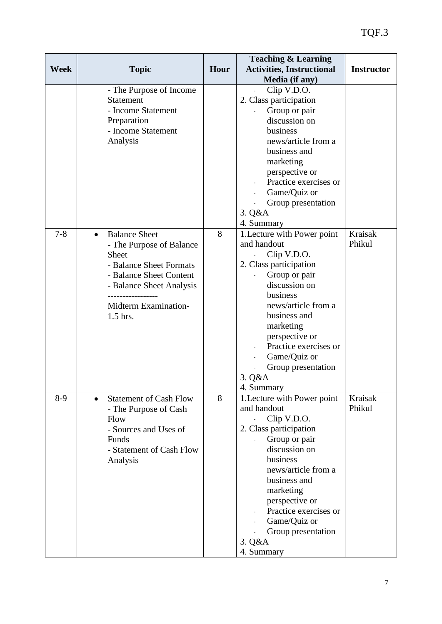|             |                                   |      | <b>Teaching &amp; Learning</b>   |                   |
|-------------|-----------------------------------|------|----------------------------------|-------------------|
| <b>Week</b> | <b>Topic</b>                      | Hour | <b>Activities, Instructional</b> | <b>Instructor</b> |
|             |                                   |      | Media (if any)                   |                   |
|             | - The Purpose of Income           |      | Clip V.D.O.                      |                   |
|             | Statement                         |      | 2. Class participation           |                   |
|             | - Income Statement                |      | Group or pair                    |                   |
|             | Preparation                       |      | discussion on                    |                   |
|             | - Income Statement                |      | business                         |                   |
|             | Analysis                          |      | news/article from a              |                   |
|             |                                   |      | business and                     |                   |
|             |                                   |      | marketing                        |                   |
|             |                                   |      | perspective or                   |                   |
|             |                                   |      | Practice exercises or            |                   |
|             |                                   |      | Game/Quiz or                     |                   |
|             |                                   |      | Group presentation               |                   |
|             |                                   |      | 3. Q&A                           |                   |
|             |                                   |      | 4. Summary                       |                   |
| $7 - 8$     | <b>Balance Sheet</b><br>$\bullet$ | 8    | 1. Lecture with Power point      | Kraisak           |
|             | - The Purpose of Balance          |      | and handout                      | Phikul            |
|             | Sheet                             |      | Clip V.D.O.                      |                   |
|             | - Balance Sheet Formats           |      | 2. Class participation           |                   |
|             | - Balance Sheet Content           |      | Group or pair                    |                   |
|             | - Balance Sheet Analysis          |      | discussion on                    |                   |
|             |                                   |      | business                         |                   |
|             | Midterm Examination-              |      | news/article from a              |                   |
|             | 1.5 hrs.                          |      | business and                     |                   |
|             |                                   |      | marketing                        |                   |
|             |                                   |      | perspective or                   |                   |
|             |                                   |      | Practice exercises or            |                   |
|             |                                   |      | Game/Quiz or                     |                   |
|             |                                   |      | Group presentation               |                   |
|             |                                   |      | 3. Q&A                           |                   |
|             |                                   |      | 4. Summary                       |                   |
| $8-9$       | <b>Statement of Cash Flow</b>     | 8    | 1. Lecture with Power point      | Kraisak           |
|             | - The Purpose of Cash             |      | and handout                      | Phikul            |
|             | Flow                              |      | Clip V.D.O.                      |                   |
|             | - Sources and Uses of             |      | 2. Class participation           |                   |
|             | Funds                             |      | Group or pair                    |                   |
|             | - Statement of Cash Flow          |      | discussion on                    |                   |
|             | Analysis                          |      | business                         |                   |
|             |                                   |      | news/article from a              |                   |
|             |                                   |      | business and                     |                   |
|             |                                   |      | marketing                        |                   |
|             |                                   |      | perspective or                   |                   |
|             |                                   |      | Practice exercises or            |                   |
|             |                                   |      | Game/Quiz or                     |                   |
|             |                                   |      | Group presentation               |                   |
|             |                                   |      | 3. Q&A                           |                   |
|             |                                   |      | 4. Summary                       |                   |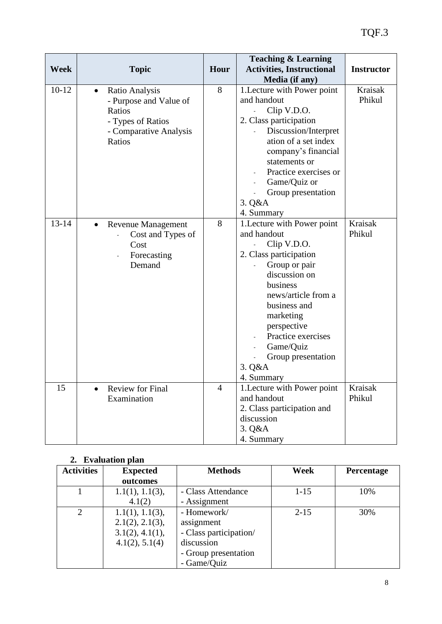| <b>Week</b> | <b>Topic</b>                                                                                                             | Hour           | <b>Teaching &amp; Learning</b><br><b>Activities, Instructional</b><br>Media (if any)                                                                                                                                                                                                  | <b>Instructor</b>        |
|-------------|--------------------------------------------------------------------------------------------------------------------------|----------------|---------------------------------------------------------------------------------------------------------------------------------------------------------------------------------------------------------------------------------------------------------------------------------------|--------------------------|
| $10-12$     | Ratio Analysis<br>$\bullet$<br>- Purpose and Value of<br>Ratios<br>- Types of Ratios<br>- Comparative Analysis<br>Ratios | 8              | 1. Lecture with Power point<br>and handout<br>Clip V.D.O.<br>2. Class participation<br>Discussion/Interpret<br>ation of a set index<br>company's financial<br>statements or<br>Practice exercises or<br>Game/Quiz or<br>Group presentation<br>3. Q&A<br>4. Summary                    | Kraisak<br>Phikul        |
| $13 - 14$   | <b>Revenue Management</b><br>$\bullet$<br>Cost and Types of<br>Cost<br>Forecasting<br>Demand                             | 8              | 1. Lecture with Power point<br>and handout<br>Clip V.D.O.<br>2. Class participation<br>Group or pair<br>discussion on<br>business<br>news/article from a<br>business and<br>marketing<br>perspective<br>Practice exercises<br>Game/Quiz<br>Group presentation<br>3. Q&A<br>4. Summary | <b>Kraisak</b><br>Phikul |
| 15          | Review for Final<br>Examination                                                                                          | $\overline{4}$ | 1. Lecture with Power point<br>and handout<br>2. Class participation and<br>discussion<br>3. Q&A<br>4. Summary                                                                                                                                                                        | Kraisak<br>Phikul        |

# **2. Evaluation plan**

| <b>Activities</b>           | <b>Expected</b> | <b>Methods</b>         | Week     | Percentage |
|-----------------------------|-----------------|------------------------|----------|------------|
|                             | outcomes        |                        |          |            |
|                             | 1.1(1), 1.1(3), | - Class Attendance     | $1 - 15$ | 10%        |
|                             | 4.1(2)          | - Assignment           |          |            |
| $\mathcal{D}_{\mathcal{L}}$ | 1.1(1), 1.1(3), | - Homework/            | $2 - 15$ | 30%        |
|                             | 2.1(2), 2.1(3), | assignment             |          |            |
|                             | 3.1(2), 4.1(1), | - Class participation/ |          |            |
|                             | 4.1(2), 5.1(4)  | discussion             |          |            |
|                             |                 | - Group presentation   |          |            |
|                             |                 | - Game/Quiz            |          |            |